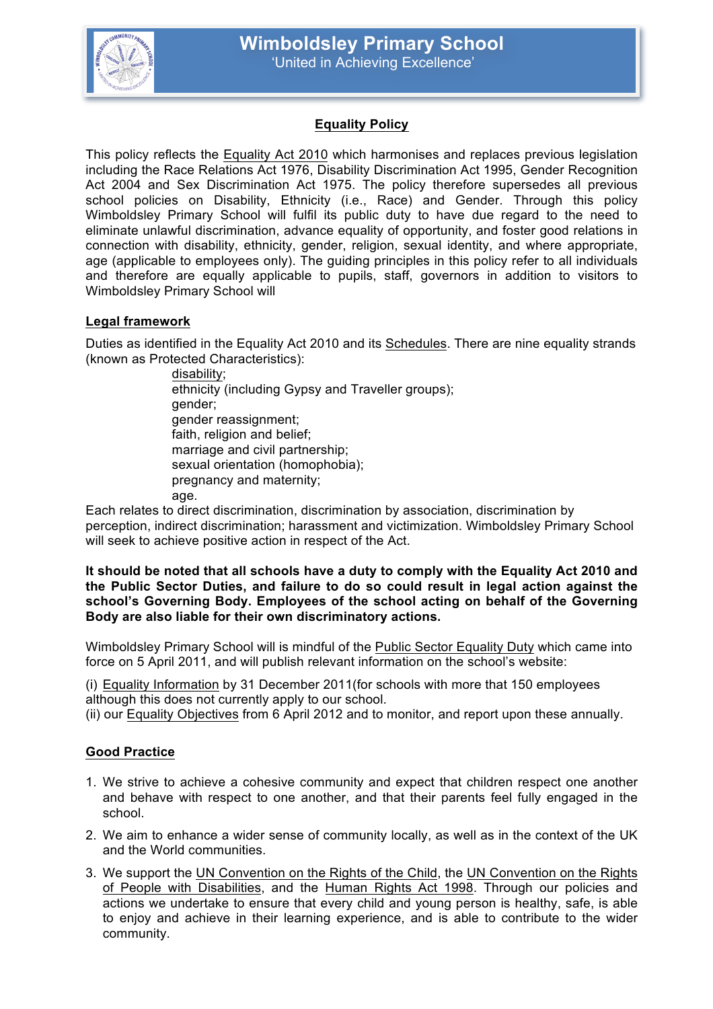

# **Equality Policy**

This policy reflects the Equality Act 2010 which harmonises and replaces previous legislation including the Race Relations Act 1976, Disability Discrimination Act 1995, Gender Recognition Act 2004 and Sex Discrimination Act 1975. The policy therefore supersedes all previous school policies on Disability, Ethnicity (i.e., Race) and Gender. Through this policy Wimboldsley Primary School will fulfil its public duty to have due regard to the need to eliminate unlawful discrimination, advance equality of opportunity, and foster good relations in connection with disability, ethnicity, gender, religion, sexual identity, and where appropriate, age (applicable to employees only). The guiding principles in this policy refer to all individuals and therefore are equally applicable to pupils, staff, governors in addition to visitors to Wimboldsley Primary School will

### **Legal framework**

Duties as identified in the Equality Act 2010 and its Schedules. There are nine equality strands (known as Protected Characteristics):

> disability; ethnicity (including Gypsy and Traveller groups); gender; gender reassignment; faith, religion and belief; marriage and civil partnership; sexual orientation (homophobia); pregnancy and maternity; age.

Each relates to direct discrimination, discrimination by association, discrimination by perception, indirect discrimination; harassment and victimization. Wimboldsley Primary School will seek to achieve positive action in respect of the Act.

#### **It should be noted that all schools have a duty to comply with the Equality Act 2010 and the Public Sector Duties, and failure to do so could result in legal action against the school's Governing Body. Employees of the school acting on behalf of the Governing Body are also liable for their own discriminatory actions.**

Wimboldsley Primary School will is mindful of the Public Sector Equality Duty which came into force on 5 April 2011, and will publish relevant information on the school's website:

(i) Equality Information by 31 December 2011(for schools with more that 150 employees although this does not currently apply to our school.

(ii) our Equality Objectives from 6 April 2012 and to monitor, and report upon these annually.

### **Good Practice**

- 1. We strive to achieve a cohesive community and expect that children respect one another and behave with respect to one another, and that their parents feel fully engaged in the school.
- 2. We aim to enhance a wider sense of community locally, as well as in the context of the UK and the World communities.
- 3. We support the UN Convention on the Rights of the Child, the UN Convention on the Rights of People with Disabilities, and the Human Rights Act 1998. Through our policies and actions we undertake to ensure that every child and young person is healthy, safe, is able to enjoy and achieve in their learning experience, and is able to contribute to the wider community.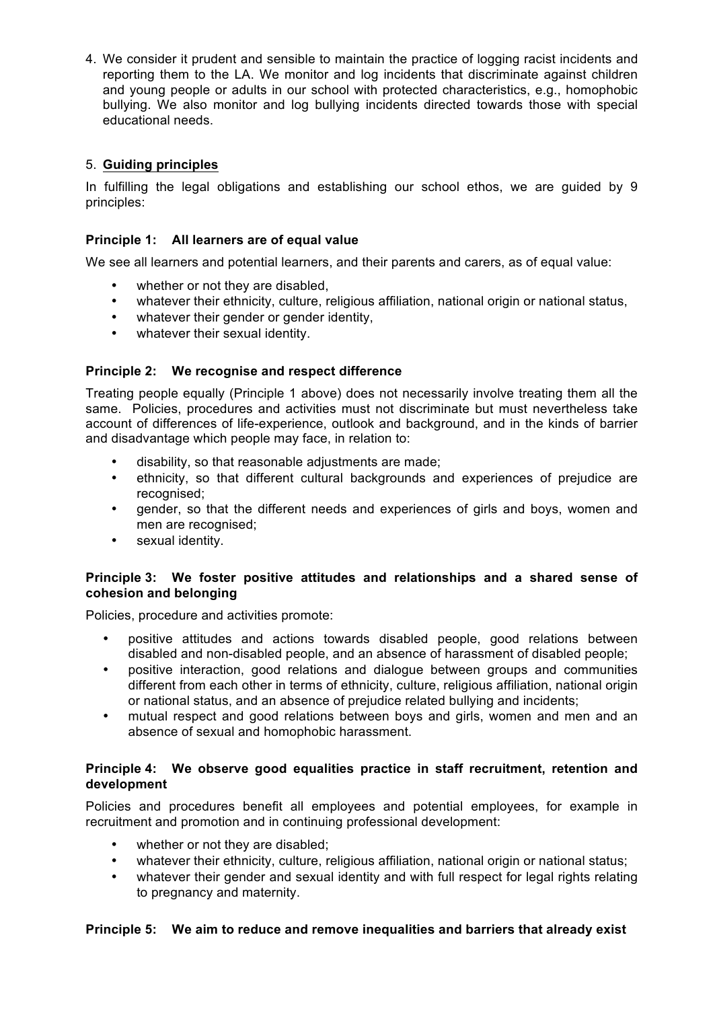4. We consider it prudent and sensible to maintain the practice of logging racist incidents and reporting them to the LA. We monitor and log incidents that discriminate against children and young people or adults in our school with protected characteristics, e.g., homophobic bullying. We also monitor and log bullying incidents directed towards those with special educational needs.

## 5. **Guiding principles**

In fulfilling the legal obligations and establishing our school ethos, we are guided by 9 principles:

## **Principle 1: All learners are of equal value**

We see all learners and potential learners, and their parents and carers, as of equal value:

- whether or not they are disabled.
- whatever their ethnicity, culture, religious affiliation, national origin or national status,
- whatever their gender or gender identity,
- whatever their sexual identity.

### **Principle 2: We recognise and respect difference**

Treating people equally (Principle 1 above) does not necessarily involve treating them all the same. Policies, procedures and activities must not discriminate but must nevertheless take account of differences of life-experience, outlook and background, and in the kinds of barrier and disadvantage which people may face, in relation to:

- disability, so that reasonable adjustments are made;
- ethnicity, so that different cultural backgrounds and experiences of prejudice are recognised;
- gender, so that the different needs and experiences of girls and boys, women and men are recognised;
- sexual identity.

### **Principle 3: We foster positive attitudes and relationships and a shared sense of cohesion and belonging**

Policies, procedure and activities promote:

- positive attitudes and actions towards disabled people, good relations between disabled and non-disabled people, and an absence of harassment of disabled people;
- positive interaction, good relations and dialogue between groups and communities different from each other in terms of ethnicity, culture, religious affiliation, national origin or national status, and an absence of prejudice related bullying and incidents;
- mutual respect and good relations between boys and girls, women and men and an absence of sexual and homophobic harassment.

### **Principle 4: We observe good equalities practice in staff recruitment, retention and development**

Policies and procedures benefit all employees and potential employees, for example in recruitment and promotion and in continuing professional development:

- whether or not they are disabled;
- whatever their ethnicity, culture, religious affiliation, national origin or national status;
- whatever their gender and sexual identity and with full respect for legal rights relating to pregnancy and maternity.

### **Principle 5: We aim to reduce and remove inequalities and barriers that already exist**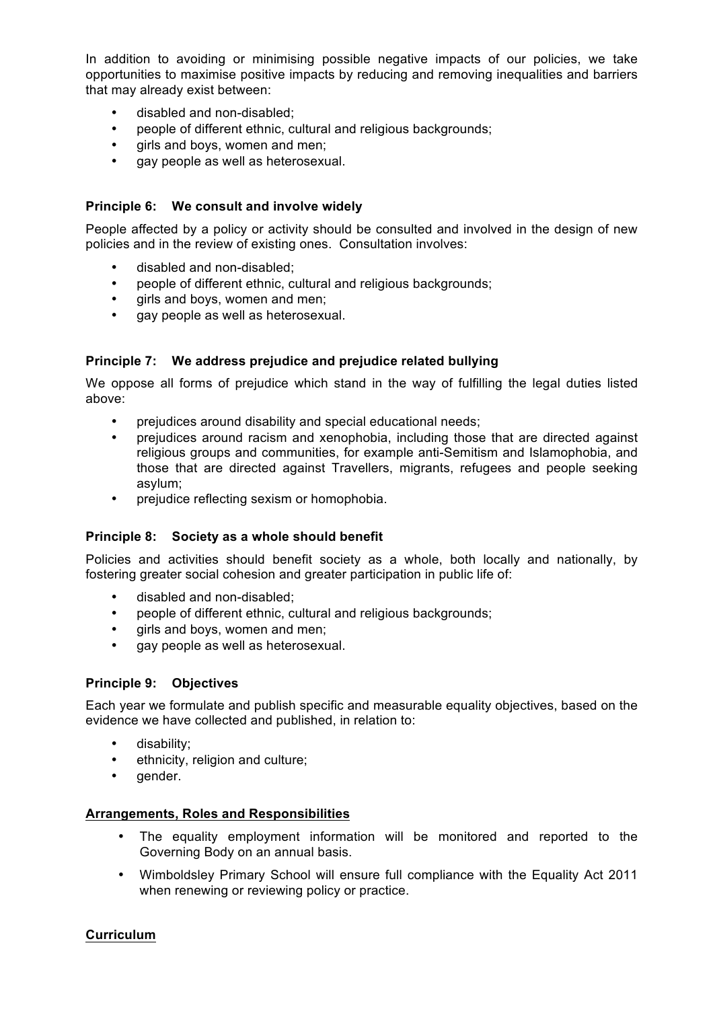In addition to avoiding or minimising possible negative impacts of our policies, we take opportunities to maximise positive impacts by reducing and removing inequalities and barriers that may already exist between:

- disabled and non-disabled;
- people of different ethnic, cultural and religious backgrounds;
- girls and boys, women and men;
- gay people as well as heterosexual.

### **Principle 6: We consult and involve widely**

People affected by a policy or activity should be consulted and involved in the design of new policies and in the review of existing ones. Consultation involves:

- disabled and non-disabled;
- people of different ethnic, cultural and religious backgrounds;
- qirls and boys, women and men;
- gay people as well as heterosexual.

### **Principle 7: We address prejudice and prejudice related bullying**

We oppose all forms of prejudice which stand in the way of fulfilling the legal duties listed above:

- prejudices around disability and special educational needs;
- prejudices around racism and xenophobia, including those that are directed against religious groups and communities, for example anti-Semitism and Islamophobia, and those that are directed against Travellers, migrants, refugees and people seeking asylum;
- prejudice reflecting sexism or homophobia.

### **Principle 8: Society as a whole should benefit**

Policies and activities should benefit society as a whole, both locally and nationally, by fostering greater social cohesion and greater participation in public life of:

- disabled and non-disabled;
- people of different ethnic, cultural and religious backgrounds;
- girls and boys, women and men;
- gay people as well as heterosexual.

### **Principle 9: Objectives**

Each year we formulate and publish specific and measurable equality objectives, based on the evidence we have collected and published, in relation to:

- disability;
- ethnicity, religion and culture;
- gender.

### **Arrangements, Roles and Responsibilities**

- The equality employment information will be monitored and reported to the Governing Body on an annual basis.
- Wimboldsley Primary School will ensure full compliance with the Equality Act 2011 when renewing or reviewing policy or practice.